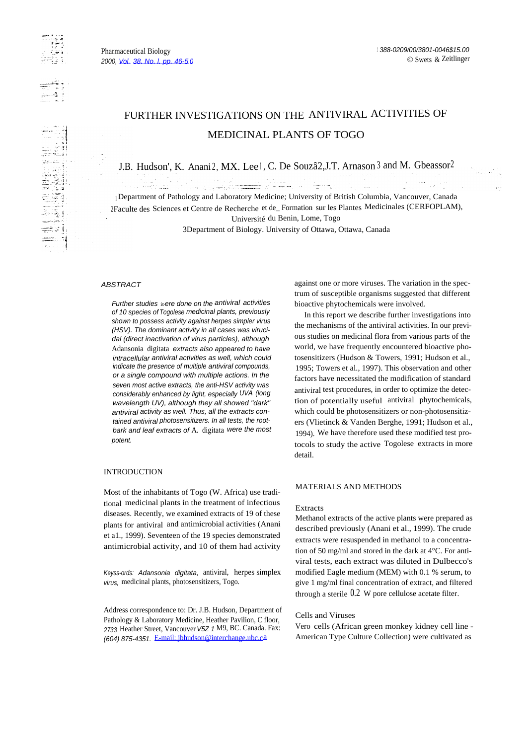llar da

# MEDICINAL PLANTS OF TOGO FURTHER INVESTIGATIONS ON THE ANTIVIRAL ACTIVITIES OF

J.B. Hudson', K. Anani2, MX. Lee <sup>1</sup>, C. De Souzâ2, J.T. Arnason 3 and M. Gbeassor<sup>2</sup>

a na matata na katika matata na matata na matata na matata na matata na matata na matata na matata na matata n<br>Matata na matata na matata na matata na matata na matata na matata na matata na matata na matata na matata na

<sup>1</sup> Department of Pathology and Laboratory Medicine; University of British Columbia, Vancouver, Canada 2Faculte des Sciences et Centre de Recherche et de\_ Formation sur les Plantes Medicinales (CERFOPLAM), Université du Benin, Lome, Togo

3Department of Biology. University of Ottawa, Ottawa, Canada

# **ABSTRACT**

Further studies it*-*ere done on the antiviral activities of 10 species of Togolese medicinal plants, previously shown to possess activity against herpes simpler virus (HSV). The dominant activity in all cases was virucidal (direct inactivation of virus particles), although Adansonia digitata extracts also appeared to have intracellular antiviral activities as well, which could indicate the presence of multiple antiviral compounds, or a single compound with multiple actions. In the seven most active extracts, the anti-HSV activity was considerably enhanced by light, especially UVA (long wavelength UV), although they all showed "dark" antiviral activity as well. Thus, all the extracts contained antiviral photosensitizers. In all tests, the rootbark and leaf extracts of A. digitata were the most potent.

## INTRODUCTION

Most of the inhabitants of Togo (W. Africa) use traditional medicinal plants in the treatment of infectious diseases. Recently, we examined extracts of 19 of these plants for antiviral and antimicrobial activities (Anani et a1., 1999). Seventeen of the 19 species demonstrated antimicrobial activity, and 10 of them had activity

Keyss-ords: Adansonia digitata, antiviral, herpes simplex virus, medicinal plants, photosensitizers, Togo.

Address correspondence to: Dr. J.B. Hudson, Department of Pathology & Laboratory Medicine, Heather Pavilion, C floor, 2733 Heather Street, Vancouver V5Z 1 M9, BC. Canada. Fax: (604) 875-4351. [E-mail: jbhudson@interchange.ubc.ca](mailto:jbhudson@interchange.ubc.ca)

against one or more viruses. The variation in the spectrum of susceptible organisms suggested that different bioactive phytochemicals were involved.

In this report we describe further investigations into the mechanisms of the antiviral activities. In our previous studies on medicinal flora from various parts of the world, we have frequently encountered bioactive photosensitizers (Hudson & Towers, 1991; Hudson et al., 1995; Towers et al., 1997). This observation and other factors have necessitated the modification of standard antiviral test procedures, in order to optimize the detection of potentially useful antiviral phytochemicals, which could be photosensitizers or non-photosensitizers (Vlietinck & Vanden Berghe, 1991; Hudson et al., 1994). We have therefore used these modified test protocols to study the active Togolese extracts in more detail.

#### MATERIALS AND METHODS

#### Extracts

Methanol extracts of the active plants were prepared as described previously (Anani et al., 1999). The crude extracts were resuspended in methanol to a concentration of 50 mg/ml and stored in the dark at 4°C. For antiviral tests, each extract was diluted in Dulbecco's modified Eagle medium (MEM) with 0.1 % serum, to give 1 mg/ml final concentration of extract, and filtered through a sterile  $0.2 \text{ W}$  pore cellulose acetate filter.

## Cells and Viruses

Vero cells (African green monkey kidney cell line - American Type Culture Collection) were cultivated as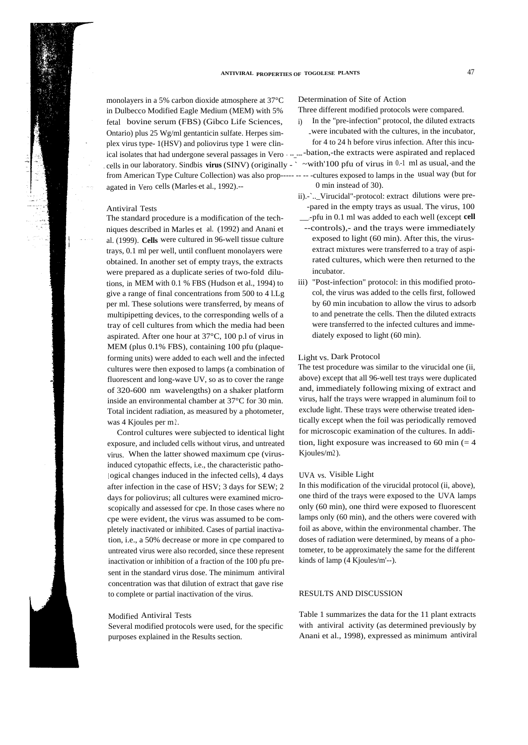monolayers in a 5% carbon dioxide atmosphere at 37°C Determination of Site of Action in Dulbecco Modified Eagle Medium (MEM) with 5% Three different modified protocols were compared. fetal bovine serum (FBS) (Gibco Life Sciences, i) In the "pre-infection" protocol, the diluted extracts<br>Ontario) plus 25  $\text{Wg/m}$  gentanticin sulfate Hernes sim-<br>were incubated with the cultures, in the incubator, Ontario) plus 25 Wg/ml gentanticin sulfate. Herpes sim-<br>
-were incubated with the cultures, in the incubator,<br>
only virus type-1(HSV) and poliovirus type 1 were clin-<br>
for 4 to 24 h before virus infection. After this incuplex virus type-  $1(HSV)$  and poliovirus type 1 were clinical isolates that had undergone several passages in Vero  $\ldots$  -----bation,-the extracts were aspirated and replaced . cells in our laboratory. Sindbis **virus** (SINV) (originally - ` ~with'100 pfu of virus in 0.-1 ml as usual,-and the from American Type Culture Collection) was also prop----- -- -- -cultures exposed to lamps in the usual way (but for agated in Vero cells (Marles-et al., 1992).-- 0 min instead of 30).

## Antiviral Tests

The standard procedure is a modification of the techniques described in Marles et al. (1992) and Anani et al. (1999). **Cells** were cultured in 96-well tissue culture trays, 0.1 ml per well, until confluent monolayers were obtained. In another set of empty trays, the extracts were prepared as a duplicate series of two-fold dilutions, in MEM with 0.1 % FBS (Hudson et al., 1994) to give a range of final concentrations from 500 to 4 l.Lg per ml. These solutions were transferred, by means of multipipetting devices, to the corresponding wells of a tray of cell cultures from which the media had been aspirated. After one hour at 37°C, 100 p.l of virus in MEM (plus 0.1% FBS), containing 100 pfu (plaqueforming units) were added to each well and the infected cultures were then exposed to lamps (a combination of fluorescent and long-wave UV, so as to cover the range of 320-600 nm wavelengths) on a shaker platform inside an environmental chamber at 37°C for 30 min. Total incident radiation, as measured by a photometer, was 4 Kjoules per m2.

Control cultures were subjected to identical light exposure, and included cells without virus, and untreated virus. When the latter showed maximum cpe (virusinduced cytopathic effects, i.e., the characteristic pathological changes induced in the infected cells), 4 days after infection in the case of HSV; 3 days for SEW; 2 days for poliovirus; all cultures were examined microscopically and assessed for cpe. In those cases where no cpe were evident, the virus was assumed to be completely inactivated or inhibited. Cases of partial inactivation, i.e., a 50% decrease or more in cpe compared to untreated virus were also recorded, since these represent inactivation or inhibition of a fraction of the 100 pfu present in the standard virus dose. The minimum antiviral concentration was that dilution of extract that gave rise to complete or partial inactivation of the virus.

#### Modified Antiviral Tests

Several modified protocols were used, for the specific purposes explained in the Results section.

- 
- 
- 
- 
- ii).-`..\_Virucidal"-protocol: extract dilutions were pre- -pared in the empty trays as usual. The virus, 100 \_\_\_.-pfu in 0.1 ml was added to each well (except **cell**
- --controls),- and the trays were immediately exposed to light (60 min). After this, the virusextract mixtures were transferred to a tray of aspirated cultures, which were then returned to the incubator.
- iii) "Post-infection" protocol: in this modified protocol, the virus was added to the cells first, followed by 60 min incubation to allow the virus to adsorb to and penetrate the cells. Then the diluted extracts were transferred to the infected cultures and immediately exposed to light (60 min).

#### Light vs. Dark Protocol

The test procedure was similar to the virucidal one (ii, above) except that all 96-well test trays were duplicated and, immediately following mixing of extract and virus, half the trays were wrapped in aluminum foil to exclude light. These trays were otherwise treated identically except when the foil was periodically removed for microscopic examination of the cultures. In addition, light exposure was increased to 60 min  $(= 4)$ Kjoules/m2).

#### UVA vs. Visible Light

In this modification of the virucidal protocol (ii, above), one third of the trays were exposed to the UVA lamps only (60 min), one third were exposed to fluorescent lamps only (60 min), and the others were covered with foil as above, within the environmental chamber. The doses of radiation were determined, by means of a photometer, to be approximately the same for the different kinds of lamp (4 Kjoules/m'--).

#### RESULTS AND DISCUSSION

Table 1 summarizes the data for the 11 plant extracts with antiviral activity (as determined previously by Anani et al., 1998), expressed as minimum antiviral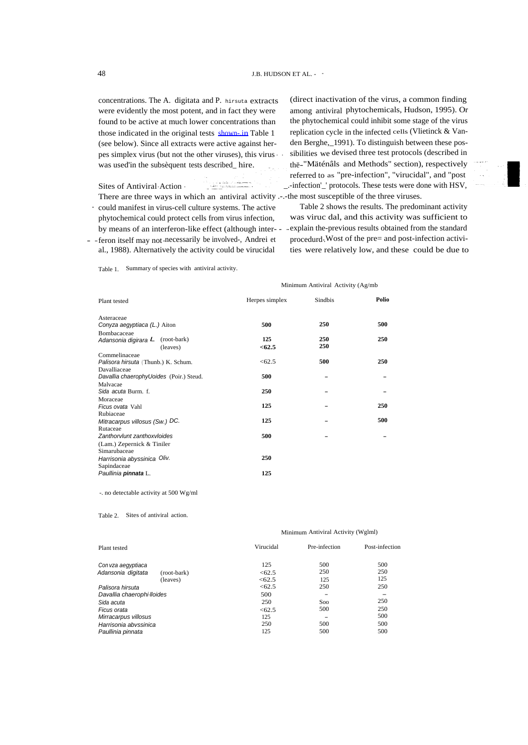concentrations. The A. digitata and P. hirsuta extracts were evidently the most potent, and in fact they were found to be active at much lower concentrations than those indicated in the original tests shown-in Table 1 (see below). Since all extracts were active against herpes simplex virus (but not the other viruses), this virus - was used'in the subsèquent tests described\_ hire.

i sa katika makamba<br>Lihat periode mengen Sites of Antiviral- Action - There are three ways in which an antiviral activity .-.-the most susceptible of the three viruses.

- -feron itself may not-necessarily be involved-, Andrei et procedurd-.Wost of the pre= and post-infection activial., 1988). Alternatively the activity could be virucidal

(direct inactivation of the virus, a common finding among antiviral phytochemicals, Hudson, 1995). Or the phytochemical could inhibit some stage of the virus replication cycle in the infected cells (Vlietinck & Vanden Berghe,\_1991). To distinguish between these possibilities we devised three test protocols (described in thë-"Mäténâls and Methods" section), respectively referred to as "pre-infection", "virucidal", and "post \_.-infection'\_' protocols. These tests were done with HSV,

- could manifest in virus-cell culture systems. The active Table 2 shows the results. The predominant activity phytochemical could protect cells from virus infection, was viruc dal, and this activity was sufficient to by means of an interferon-like effect (although inter- - -- explain the-previous results obtained from the standard ties were relatively low, and these could be due to

Table 1. Summary of species with antiviral activity.

#### Minimum Antiviral Activity (Ag/mb

| Plant tested                            | Herpes simplex | Sindbis | Polio |  |
|-----------------------------------------|----------------|---------|-------|--|
| Asteraceae                              |                |         |       |  |
| Conyza aegyptiaca (L.) Aiton            | 500            | 250     | 500   |  |
| Bombacaceae                             |                |         |       |  |
| Adansonia digirara L (root-bark)        | 125            | 250     | 250   |  |
| (leaves)                                | < 62.5         | 250     |       |  |
| Commelinaceae                           |                |         |       |  |
| Palisora hirsuta (Thunb.) K. Schum.     | < 62.5         | 500     | 250   |  |
| Davalliaceae                            |                |         |       |  |
| Davallia chaerophyUoides (Poir.) Steud. | 500            |         |       |  |
| Malvacae                                |                |         |       |  |
| Sida acuta Burm. f.                     | 250            |         |       |  |
| Moraceae                                |                |         |       |  |
| Ficus ovata Vahl                        | 125            |         | 250   |  |
| Rubiaceae                               |                |         |       |  |
| Mitracarpus villosus (Sw.) DC.          | 125            |         | 500   |  |
| Rutaceae                                |                |         |       |  |
| Zanthorvlunt zanthoxvloides             | 500            |         |       |  |
| (Lam.) Zepernick & Tiniler              |                |         |       |  |
| Simarubaceae                            |                |         |       |  |
| Harrisonia abyssinica Oliv.             | 250            |         |       |  |
| Sapindaceae                             |                |         |       |  |
| Paullinia pinnata L.                    | 125            |         |       |  |

-. no detectable activity at 500 Wg/ml

Table 2. Sites of antiviral action.

#### Minimum Antiviral Activity (Wglml)

| Plant tested               |             | Virucidal | Pre-infection | Post-infection |
|----------------------------|-------------|-----------|---------------|----------------|
| Con vza aegyptiaca         |             | 125       | 500           | 500            |
| Adansonia digitata         | (root-bark) | < 62.5    | 250           | 250            |
|                            | (leaves)    | < 62.5    | 125           | 125            |
| Palisora hirsuta           |             | < 62.5    | 250           | 250            |
| Davallia chaerophi-lloides |             | 500       | -             |                |
| Sida acuta                 |             | 250       | Soo           | 250            |
| Ficus orata                |             | <62.5     | 500           | 250            |
| Mirracarpus villosus       |             | 125       |               | 500            |
| Harrisonia abvssinica      |             | 250       | 500           | 500            |
| Paullinia pinnata          |             | 125       | 500           | 500            |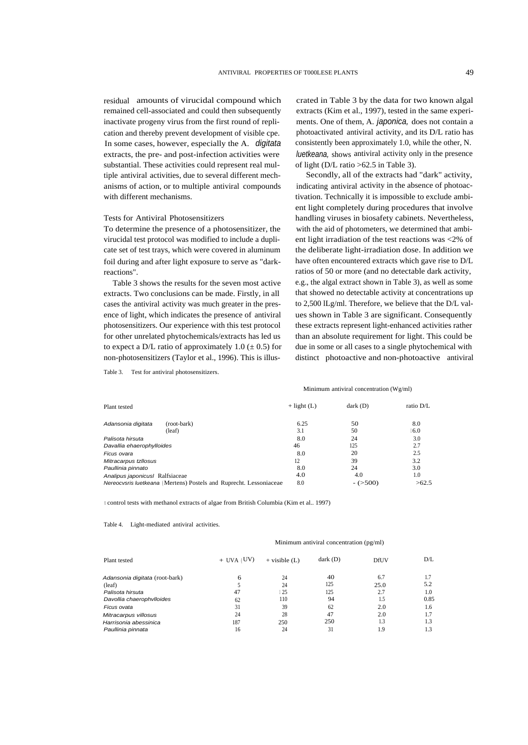residual amounts of virucidal compound which remained cell-associated and could then subsequently inactivate progeny virus from the first round of replication and thereby prevent development of visible cpe. In some cases, however, especially the A. digitata extracts, the pre- and post-infection activities were substantial. These activities could represent real multiple antiviral activities, due to several different mechanisms of action, or to multiple antiviral compounds with different mechanisms.

### Tests for Antiviral Photosensitizers

To determine the presence of a photosensitizer, the virucidal test protocol was modified to include a duplicate set of test trays, which were covered in aluminum foil during and after light exposure to serve as "darkreactions".

Table 3 shows the results for the seven most active extracts. Two conclusions can be made. Firstly, in all cases the antiviral activity was much greater in the presence of light, which indicates the presence of antiviral photosensitizers. Our experience with this test protocol for other unrelated phytochemicals/extracts has led us to expect a D/L ratio of approximately 1.0 ( $\pm$  0.5) for non-photosensitizers (Taylor et al., 1996). This is illus-

Table 3. Test for antiviral photosensitizers.

crated in Table 3 by the data for two known algal extracts (Kim et al., 1997), tested in the same experiments. One of them, A. *japonica*, does not contain a photoactivated antiviral activity, and its D/L ratio has consistently been approximately 1.0, while the other, N. luetkeana, shows antiviral activity only in the presence of light ( $D/L$  ratio  $>62.5$  in Table 3).

Secondly, all of the extracts had "dark" activity, indicating antiviral activity in the absence of photoactivation. Technically it is impossible to exclude ambient light completely during procedures that involve handling viruses in biosafety cabinets. Nevertheless, with the aid of photometers, we determined that ambient light irradiation of the test reactions was <2% of the deliberate light-irradiation dose. In addition we have often encountered extracts which gave rise to D/L ratios of 50 or more (and no detectable dark activity, e.g., the algal extract shown in Table 3), as well as some that showed no detectable activity at concentrations up to 2,500 lLg/ml. Therefore, we believe that the D/L values shown in Table 3 are significant. Consequently these extracts represent light-enhanced activities rather than an absolute requirement for light. This could be due in some or all cases to a single phytochemical with distinct photoactive and non-photoactive antiviral

#### Minimum antiviral concentration (Wg/ml)

| Plant tested                                                       | $+$ light (L) | dark(D)   | ratio D/L |
|--------------------------------------------------------------------|---------------|-----------|-----------|
| (root-bark)<br>Adansonia digitata                                  | 6.25          | 50        | 8.0       |
| (leaf)                                                             | 3.1           | 50        | 6.0       |
| Palisota hirsuta                                                   | 8.0           | 24        | 3.0       |
| Davallia ehaerophylloides                                          | 46            | 125       | 2.7       |
| Ficus ovara                                                        | 8.0           | 20        | 2.5       |
| Mitracarpus tzllosus                                               | 12            | 39        | 3.2       |
| Paullinia pinnato                                                  | 8.0           | 24        | 3.0       |
| Analipus japonicus Ralfsiaceae                                     | 4.0           | 4.0       | 1.0       |
| Nereocysris luetkeana (Mertens) Postels and Ruprecht. Lessoniaceae | 8.0           | $-(>500)$ | >62.5     |

<sup>t</sup> control tests with methanol extracts of algae from British Columbia (Kim et al.. 1997)

Table 4. Light-mediated antiviral activities.

#### Minimum antiviral concentration (pg/ml)

| Plant tested                   | $+$ UVA (UV) | $+$ visible $(L)$ | dark(D) | DfUV | D/L  |
|--------------------------------|--------------|-------------------|---------|------|------|
| Adansonia digitata (root-bark) | 6            | 24                | 40      | 6.7  |      |
| (leaf)                         |              | 24                | 125     | 25.0 | 5.2  |
| Palisota hirsuta               | 47           | 25                | 125     | 2.7  | 1.0  |
| Davollia chaerophylloides      | 62           | 110               | 94      | 1.5  | 0.85 |
| Ficus ovata                    | 31           | 39                | 62      | 2.0  | 1.6  |
| Mitracarpus villosus           | 24           | 28                | 47      | 2.0  | 1.7  |
| Harrisonia abessinica          | 187          | 250               | 250     | 1.3  | 1.3  |
| Paullinia pinnata              | 16           | 24                | 31      | 1.9  | 1.3  |